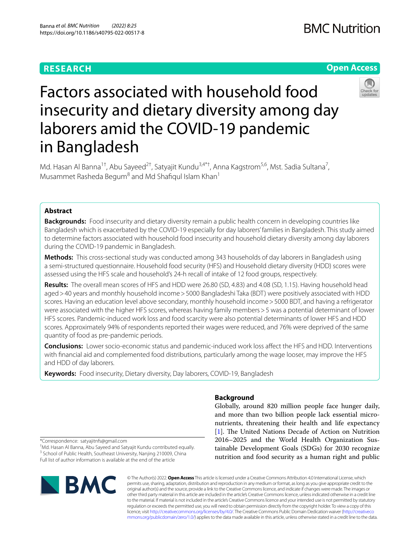# **RESEARCH**

# **Open Access**



# Factors associated with household food insecurity and dietary diversity among day laborers amid the COVID-19 pandemic in Bangladesh

Md. Hasan Al Banna<sup>1†</sup>, Abu Sayeed<sup>2†</sup>, Satyajit Kundu<sup>3,4\*†</sup>, Anna Kagstrom<sup>5,6</sup>, Mst. Sadia Sultana<sup>7</sup>, Musammet Rasheda Begum<sup>8</sup> and Md Shafiqul Islam Khan<sup>1</sup>

# **Abstract**

**Backgrounds:** Food insecurity and dietary diversity remain a public health concern in developing countries like Bangladesh which is exacerbated by the COVID-19 especially for day laborers' families in Bangladesh. This study aimed to determine factors associated with household food insecurity and household dietary diversity among day laborers during the COVID-19 pandemic in Bangladesh.

**Methods:** This cross-sectional study was conducted among 343 households of day laborers in Bangladesh using a semi-structured questionnaire. Household food security (HFS) and Household dietary diversity (HDD) scores were assessed using the HFS scale and household's 24-h recall of intake of 12 food groups, respectively.

**Results:** The overall mean scores of HFS and HDD were 26.80 (SD, 4.83) and 4.08 (SD, 1.15). Having household head aged>40 years and monthly household income>5000 Bangladeshi Taka (BDT) were positively associated with HDD scores. Having an education level above secondary, monthly household income>5000 BDT, and having a refrigerator were associated with the higher HFS scores, whereas having family members>5 was a potential determinant of lower HFS scores. Pandemic-induced work loss and food scarcity were also potential determinants of lower HFS and HDD scores. Approximately 94% of respondents reported their wages were reduced, and 76% were deprived of the same quantity of food as pre-pandemic periods.

**Conclusions:** Lower socio-economic status and pandemic-induced work loss afect the HFS and HDD. Interventions with fnancial aid and complemented food distributions, particularly among the wage looser, may improve the HFS and HDD of day laborers.

**Keywords:** Food insecurity, Dietary diversity, Day laborers, COVID-19, Bangladesh

## **Background**

Globally, around 820 million people face hunger daily, and more than two billion people lack essential micronutrients, threatening their health and life expectancy [[1\]](#page-9-0). The United Nations Decade of Action on Nutrition 2016–2025 and the World Health Organization Sustainable Development Goals (SDGs) for 2030 recognize nutrition and food security as a human right and public

\*Correspondence: satyajitnfs@gmail.com

† Md. Hasan Al Banna, Abu Sayeed and Satyajit Kundu contributed equally. <sup>3</sup> School of Public Health, Southeast University, Nanjing 210009, China Full list of author information is available at the end of the article



© The Author(s) 2022. **Open Access** This article is licensed under a Creative Commons Attribution 4.0 International License, which permits use, sharing, adaptation, distribution and reproduction in any medium or format, as long as you give appropriate credit to the original author(s) and the source, provide a link to the Creative Commons licence, and indicate if changes were made. The images or other third party material in this article are included in the article's Creative Commons licence, unless indicated otherwise in a credit line to the material. If material is not included in the article's Creative Commons licence and your intended use is not permitted by statutory regulation or exceeds the permitted use, you will need to obtain permission directly from the copyright holder. To view a copy of this licence, visit [http://creativecommons.org/licenses/by/4.0/.](http://creativecommons.org/licenses/by/4.0/) The Creative Commons Public Domain Dedication waiver ([http://creativeco](http://creativecommons.org/publicdomain/zero/1.0/) [mmons.org/publicdomain/zero/1.0/](http://creativecommons.org/publicdomain/zero/1.0/)) applies to the data made available in this article, unless otherwise stated in a credit line to the data.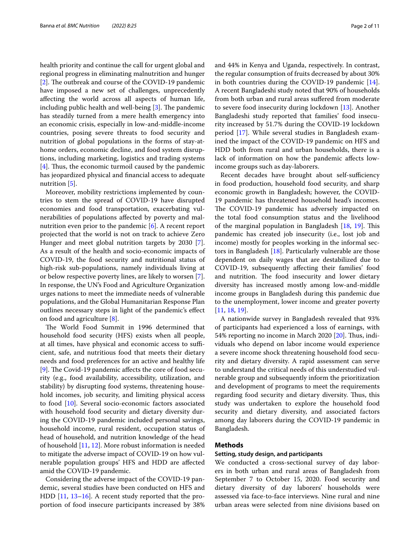health priority and continue the call for urgent global and regional progress in eliminating malnutrition and hunger [[2\]](#page-9-1). The outbreak and course of the COVID-19 pandemic have imposed a new set of challenges, unprecedently afecting the world across all aspects of human life, including public health and well-being  $[3]$  $[3]$  $[3]$ . The pandemic has steadily turned from a mere health emergency into an economic crisis, especially in low-and-middle-income countries, posing severe threats to food security and nutrition of global populations in the forms of stay-athome orders, economic decline, and food system disruptions, including marketing, logistics and trading systems  $[4]$  $[4]$ . Thus, the economic turmoil caused by the pandemic has jeopardized physical and fnancial access to adequate nutrition [\[5\]](#page-9-4).

Moreover, mobility restrictions implemented by countries to stem the spread of COVID-19 have disrupted economies and food transportation, exacerbating vulnerabilities of populations afected by poverty and malnutrition even prior to the pandemic [[6\]](#page-9-5). A recent report projected that the world is not on track to achieve Zero Hunger and meet global nutrition targets by 2030 [\[7](#page-9-6)]. As a result of the health and socio-economic impacts of COVID-19, the food security and nutritional status of high-risk sub-populations, namely individuals living at or below respective poverty lines, are likely to worsen [\[7](#page-9-6)]. In response, the UN's Food and Agriculture Organization urges nations to meet the immediate needs of vulnerable populations, and the Global Humanitarian Response Plan outlines necessary steps in light of the pandemic's efect on food and agriculture [\[8](#page-9-7)].

The World Food Summit in 1996 determined that household food security (HFS) exists when all people, at all times, have physical and economic access to sufficient, safe, and nutritious food that meets their dietary needs and food preferences for an active and healthy life [[9\]](#page-9-8). The Covid-19 pandemic affects the core of food security (e.g., food availability, accessibility, utilization, and stability) by disrupting food systems, threatening household incomes, job security, and limiting physical access to food [[10\]](#page-9-9). Several socio-economic factors associated with household food security and dietary diversity during the COVID-19 pandemic included personal savings, household income, rural resident, occupation status of head of household, and nutrition knowledge of the head of household [\[11,](#page-9-10) [12](#page-9-11)]. More robust information is needed to mitigate the adverse impact of COVID-19 on how vulnerable population groups' HFS and HDD are afected amid the COVID-19 pandemic.

Considering the adverse impact of the COVID-19 pandemic, several studies have been conducted on HFS and HDD [\[11,](#page-9-10) [13](#page-9-12)–[16\]](#page-9-13). A recent study reported that the proportion of food insecure participants increased by 38% and 44% in Kenya and Uganda, respectively. In contrast, the regular consumption of fruits decreased by about 30% in both countries during the COVID-19 pandemic [\[14](#page-9-14)]. A recent Bangladeshi study noted that 90% of households from both urban and rural areas sufered from moderate to severe food insecurity during lockdown [\[13\]](#page-9-12). Another Bangladeshi study reported that families' food insecurity increased by 51.7% during the COVID-19 lockdown period [[17](#page-9-15)]. While several studies in Bangladesh examined the impact of the COVID-19 pandemic on HFS and HDD both from rural and urban households, there is a lack of information on how the pandemic afects lowincome groups such as day-laborers.

Recent decades have brought about self-sufficiency in food production, household food security, and sharp economic growth in Bangladesh; however, the COVID-19 pandemic has threatened household head's incomes. The COVID-19 pandemic has adversely impacted on the total food consumption status and the livelihood of the marginal population in Bangladesh [[18](#page-9-16), [19](#page-9-17)]. This pandemic has created job insecurity (i.e., lost job and income) mostly for peoples working in the informal sectors in Bangladesh [\[18\]](#page-9-16). Particularly vulnerable are those dependent on daily wages that are destabilized due to COVID-19, subsequently afecting their families' food and nutrition. The food insecurity and lower dietary diversity has increased mostly among low-and-middle income groups in Bangladesh during this pandemic due to the unemployment, lower income and greater poverty [[11,](#page-9-10) [18](#page-9-16), [19\]](#page-9-17).

A nationwide survey in Bangladesh revealed that 93% of participants had experienced a loss of earnings, with 54% reporting no income in March 2020  $[20]$  $[20]$ . Thus, individuals who depend on labor income would experience a severe income shock threatening household food security and dietary diversity. A rapid assessment can serve to understand the critical needs of this understudied vulnerable group and subsequently inform the prioritization and development of programs to meet the requirements regarding food security and dietary diversity. Thus, this study was undertaken to explore the household food security and dietary diversity, and associated factors among day laborers during the COVID-19 pandemic in Bangladesh.

#### **Methods**

#### **Setting, study design, and participants**

We conducted a cross-sectional survey of day laborers in both urban and rural areas of Bangladesh from September 7 to October 15, 2020. Food security and dietary diversity of day laborers' households were assessed via face-to-face interviews. Nine rural and nine urban areas were selected from nine divisions based on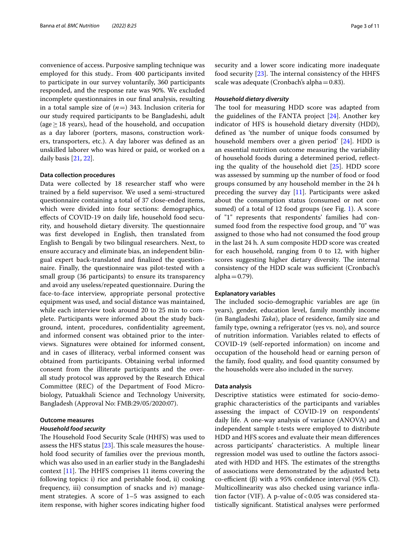convenience of access. Purposive sampling technique was employed for this study.. From 400 participants invited to participate in our survey voluntarily, 360 participants responded, and the response rate was 90%. We excluded incomplete questionnaires in our fnal analysis, resulting in a total sample size of  $(n=)$  343. Inclusion criteria for our study required participants to be Bangladeshi, adult (age  $\geq$  18 years), head of the household, and occupation as a day laborer (porters, masons, construction workers, transporters, etc.). A day laborer was defned as an unskilled laborer who was hired or paid, or worked on a daily basis [\[21,](#page-9-19) [22](#page-9-20)].

#### **Data collection procedures**

Data were collected by 18 researcher staff who were trained by a feld supervisor. We used a semi-structured questionnaire containing a total of 37 close-ended items, which were divided into four sections: demographics, efects of COVID-19 on daily life, household food security, and household dietary diversity. The questionnaire was frst developed in English, then translated from English to Bengali by two bilingual researchers. Next, to ensure accuracy and eliminate bias, an independent bilingual expert back-translated and fnalized the questionnaire. Finally, the questionnaire was pilot-tested with a small group (36 participants) to ensure its transparency and avoid any useless/repeated questionnaire. During the face-to-face interview, appropriate personal protective equipment was used, and social distance was maintained, while each interview took around 20 to 25 min to complete. Participants were informed about the study background, intent, procedures, confdentiality agreement, and informed consent was obtained prior to the interviews. Signatures were obtained for informed consent, and in cases of illiteracy, verbal informed consent was obtained from participants. Obtaining verbal informed consent from the illiterate participants and the overall study protocol was approved by the Research Ethical Committee (REC) of the Department of Food Microbiology, Patuakhali Science and Technology University, Bangladesh (Approval No: FMB:29/05/2020:07).

#### **Outcome measures**

#### *Household food security*

The Household Food Security Scale (HHFS) was used to assess the HFS status  $[23]$  $[23]$ . This scale measures the household food security of families over the previous month, which was also used in an earlier study in the Bangladeshi context  $[11]$ . The HHFS comprises 11 items covering the following topics: i) rice and perishable food, ii) cooking frequency, iii) consumption of snacks and iv) management strategies. A score of 1–5 was assigned to each item response, with higher scores indicating higher food security and a lower score indicating more inadequate food security  $[23]$  $[23]$ . The internal consistency of the HHFS scale was adequate (Cronbach's alpha=0.83).

#### *Household dietary diversity*

The tool for measuring HDD score was adapted from the guidelines of the FANTA project [\[24](#page-9-22)]. Another key indicator of HFS is household dietary diversity (HDD), defned as 'the number of unique foods consumed by household members over a given period' [[24](#page-9-22)]. HDD is an essential nutrition outcome measuring the variability of household foods during a determined period, refecting the quality of the household diet [\[25](#page-9-23)]. HDD score was assessed by summing up the number of food or food groups consumed by any household member in the 24 h preceding the survey day [\[11\]](#page-9-10). Participants were asked about the consumption status (consumed or not consumed) of a total of 12 food groups (see Fig. [1](#page-3-0)). A score of "1" represents that respondents' families had consumed food from the respective food group, and "0" was assigned to those who had not consumed the food group in the last 24 h. A sum composite HDD score was created for each household, ranging from 0 to 12, with higher scores suggesting higher dietary diversity. The internal consistency of the HDD scale was sufficient (Cronbach's alpha $=$  0.79).

#### **Explanatory variables**

The included socio-demographic variables are age (in years), gender, education level, family monthly income (in Bangladeshi *Taka*), place of residence, family size and family type, owning a refrigerator (yes vs. no), and source of nutrition information. Variables related to efects of COVID-19 (self-reported information) on income and occupation of the household head or earning person of the family, food quality, and food quantity consumed by the households were also included in the survey.

#### **Data analysis**

Descriptive statistics were estimated for socio-demographic characteristics of the participants and variables assessing the impact of COVID-19 on respondents' daily life. A one-way analysis of variance (ANOVA) and independent sample t-tests were employed to distribute HDD and HFS scores and evaluate their mean diferences across participants' characteristics. A multiple linear regression model was used to outline the factors associated with HDD and HFS. The estimates of the strengths of associations were demonstrated by the adjusted beta co-efficient (β) with a 95% confidence interval (95% CI). Multicollinearity was also checked using variance infation factor (VIF). A p-value of  $< 0.05$  was considered statistically signifcant. Statistical analyses were performed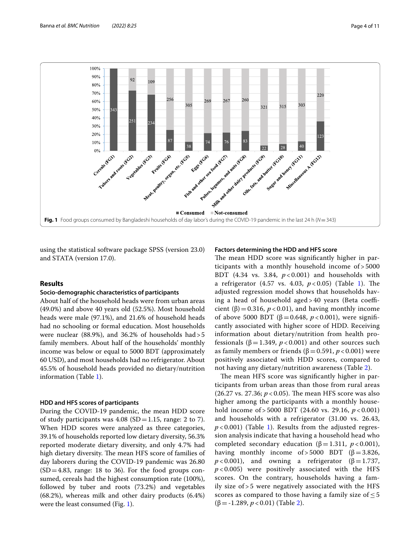

<span id="page-3-0"></span>using the statistical software package SPSS (version 23.0) and STATA (version 17.0).

#### **Results**

#### **Socio‑demographic characteristics of participants**

About half of the household heads were from urban areas (49.0%) and above 40 years old (52.5%). Most household heads were male (97.1%), and 21.6% of household heads had no schooling or formal education. Most households were nuclear (88.9%), and 36.2% of households had>5 family members. About half of the households' monthly income was below or equal to 5000 BDT (approximately 60 USD), and most households had no refrigerator. About 45.5% of household heads provided no dietary/nutrition information (Table [1\)](#page-4-0).

#### **HDD and HFS scores of participants**

During the COVID-19 pandemic, the mean HDD score of study participants was  $4.08$  (SD = 1.15, range: 2 to 7). When HDD scores were analyzed as three categories, 39.1% of households reported low dietary diversity, 56.3% reported moderate dietary diversity, and only 4.7% had high dietary diversity. The mean HFS score of families of day laborers during the COVID-19 pandemic was 26.80  $(SD=4.83, \text{ range: } 18 \text{ to } 36)$ . For the food groups consumed, cereals had the highest consumption rate (100%), followed by tuber and roots (73.2%) and vegetables (68.2%), whereas milk and other dairy products (6.4%) were the least consumed (Fig. [1\)](#page-3-0).

#### **Factors determining the HDD and HFS score**

The mean HDD score was significantly higher in participants with a monthly household income of > 5000 BDT (4.34 vs. 3.84, *p* < 0.001) and households with a refrigerator (4.57 vs. 4.03,  $p < 0.05$ ) (Table [1](#page-4-0)). The adjusted regression model shows that households having a head of household aged  $>40$  years (Beta coefficient ( $\beta$ ) = 0.316, *p* < 0.01), and having monthly income of above 5000 BDT ( $β = 0.648$ ,  $p < 0.001$ ), were significantly associated with higher score of HDD. Receiving information about dietary/nutrition from health professionals ( $β = 1.349$ ,  $p < 0.001$ ) and other sources such as family members or friends ( $β = 0.591, p < 0.001$ ) were positively associated with HDD scores, compared to not having any dietary/nutrition awareness (Table [2](#page-5-0)).

The mean HFS score was significantly higher in participants from urban areas than those from rural areas  $(26.27 \text{ vs. } 27.36; p < 0.05)$ . The mean HFS score was also higher among the participants with a monthly household income of > 5000 BDT (24.60 vs. 29.16, *p* < 0.001) and households with a refrigerator (31.00 vs. 26.43,  $p$  < 0.00[1\)](#page-4-0) (Table 1). Results from the adjusted regression analysis indicate that having a household head who completed secondary education ( $β = 1.311$ ,  $p < 0.001$ ), having monthly income of > 5000 BDT ( $\beta$  = 3.826,  $p$  < 0.001), and owning a refrigerator ( $\beta$  = 1.737,  $p < 0.005$ ) were positively associated with the HFS scores. On the contrary, households having a family size of > 5 were negatively associated with the HFS scores as compared to those having a family size of  $\leq 5$ (β=-1.289, *p* < 0.01) (Table [2\)](#page-5-0).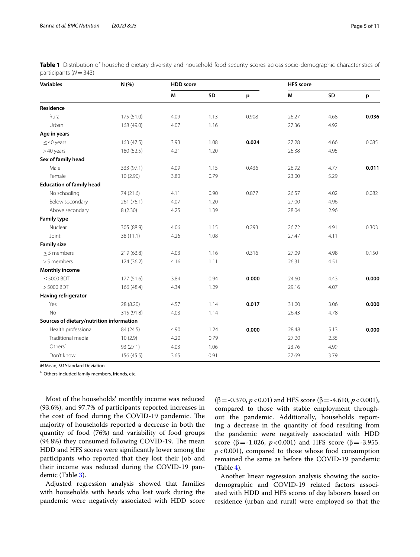| M<br><b>SD</b><br>M<br>SD<br>p<br>p<br>175 (51.0)<br>4.09<br>1.13<br>0.908<br>26.27<br>4.68<br>0.036<br>Rural<br>Urban<br>1.16<br>168 (49.0)<br>4.07<br>27.36<br>4.92<br>1.08<br>27.28<br>163 (47.5)<br>3.93<br>0.024<br>4.66<br>0.085<br>$\leq$ 40 years<br>4.21<br>1.20<br>26.38<br>>40 years<br>180 (52.5)<br>4.95<br>Sex of family head<br>Male<br>333 (97.1)<br>4.09<br>0.436<br>26.92<br>4.77<br>0.011<br>1.15<br>Female<br>23.00<br>10(2.90)<br>3.80<br>0.79<br>5.29<br><b>Education of family head</b><br>No schooling<br>74 (21.6)<br>4.11<br>0.90<br>0.877<br>26.57<br>4.02<br>0.082<br>Below secondary<br>261 (76.1)<br>4.07<br>1.20<br>27.00<br>4.96<br>Above secondary<br>4.25<br>1.39<br>28.04<br>2.96<br>8(2.30)<br>0.293<br>0.303<br>Nuclear<br>305 (88.9)<br>4.06<br>1.15<br>26.72<br>4.91<br>1.08<br>Joint<br>4.26<br>27.47<br>4.11<br>38 (11.1)<br><b>Family size</b><br>4.03<br>1.16<br>0.316<br>27.09<br>$<$ 5 members<br>219 (63.8)<br>4.98<br>0.150<br>> 5 members<br>1.11<br>26.31<br>4.51<br>4.16<br>124(36.2)<br><b>Monthly income</b><br>177 (51.6)<br>$\leq$ 5000 BDT<br>3.84<br>0.94<br>0.000<br>24.60<br>4.43<br>0.000<br>$> 5000$ BDT<br>29.16<br>4.07<br>166 (48.4)<br>4.34<br>1.29<br>Having refrigerator<br>Yes<br>1.14<br>0.017<br>31.00<br>3.06<br>0.000<br>28 (8.20)<br>4.57<br>1.14<br>4.78<br>No<br>315 (91.8)<br>4.03<br>26.43<br>Sources of dietary/nutrition information<br>Health professional<br>84 (24.5)<br>4.90<br>1.24<br>28.48<br>5.13<br>0.000<br>0.000<br>Traditional media<br>0.79<br>27.20<br>10(2.9)<br>4.20<br>2.35<br>Others <sup>a</sup><br>93 (27.1)<br>4.03<br>1.06<br>23.76<br>4.99<br>Don't know<br>0.91<br>3.79<br>156 (45.5)<br>3.65<br>27.69 | <b>Variables</b>   | N (%) | <b>HDD</b> score |  |  | <b>HFS</b> score |  |  |
|--------------------------------------------------------------------------------------------------------------------------------------------------------------------------------------------------------------------------------------------------------------------------------------------------------------------------------------------------------------------------------------------------------------------------------------------------------------------------------------------------------------------------------------------------------------------------------------------------------------------------------------------------------------------------------------------------------------------------------------------------------------------------------------------------------------------------------------------------------------------------------------------------------------------------------------------------------------------------------------------------------------------------------------------------------------------------------------------------------------------------------------------------------------------------------------------------------------------------------------------------------------------------------------------------------------------------------------------------------------------------------------------------------------------------------------------------------------------------------------------------------------------------------------------------------------------------------------------------------------------------------------------------------------------------------------------------------------|--------------------|-------|------------------|--|--|------------------|--|--|
|                                                                                                                                                                                                                                                                                                                                                                                                                                                                                                                                                                                                                                                                                                                                                                                                                                                                                                                                                                                                                                                                                                                                                                                                                                                                                                                                                                                                                                                                                                                                                                                                                                                                                                              |                    |       |                  |  |  |                  |  |  |
|                                                                                                                                                                                                                                                                                                                                                                                                                                                                                                                                                                                                                                                                                                                                                                                                                                                                                                                                                                                                                                                                                                                                                                                                                                                                                                                                                                                                                                                                                                                                                                                                                                                                                                              | Residence          |       |                  |  |  |                  |  |  |
|                                                                                                                                                                                                                                                                                                                                                                                                                                                                                                                                                                                                                                                                                                                                                                                                                                                                                                                                                                                                                                                                                                                                                                                                                                                                                                                                                                                                                                                                                                                                                                                                                                                                                                              |                    |       |                  |  |  |                  |  |  |
|                                                                                                                                                                                                                                                                                                                                                                                                                                                                                                                                                                                                                                                                                                                                                                                                                                                                                                                                                                                                                                                                                                                                                                                                                                                                                                                                                                                                                                                                                                                                                                                                                                                                                                              |                    |       |                  |  |  |                  |  |  |
|                                                                                                                                                                                                                                                                                                                                                                                                                                                                                                                                                                                                                                                                                                                                                                                                                                                                                                                                                                                                                                                                                                                                                                                                                                                                                                                                                                                                                                                                                                                                                                                                                                                                                                              | Age in years       |       |                  |  |  |                  |  |  |
|                                                                                                                                                                                                                                                                                                                                                                                                                                                                                                                                                                                                                                                                                                                                                                                                                                                                                                                                                                                                                                                                                                                                                                                                                                                                                                                                                                                                                                                                                                                                                                                                                                                                                                              |                    |       |                  |  |  |                  |  |  |
|                                                                                                                                                                                                                                                                                                                                                                                                                                                                                                                                                                                                                                                                                                                                                                                                                                                                                                                                                                                                                                                                                                                                                                                                                                                                                                                                                                                                                                                                                                                                                                                                                                                                                                              |                    |       |                  |  |  |                  |  |  |
|                                                                                                                                                                                                                                                                                                                                                                                                                                                                                                                                                                                                                                                                                                                                                                                                                                                                                                                                                                                                                                                                                                                                                                                                                                                                                                                                                                                                                                                                                                                                                                                                                                                                                                              |                    |       |                  |  |  |                  |  |  |
|                                                                                                                                                                                                                                                                                                                                                                                                                                                                                                                                                                                                                                                                                                                                                                                                                                                                                                                                                                                                                                                                                                                                                                                                                                                                                                                                                                                                                                                                                                                                                                                                                                                                                                              |                    |       |                  |  |  |                  |  |  |
|                                                                                                                                                                                                                                                                                                                                                                                                                                                                                                                                                                                                                                                                                                                                                                                                                                                                                                                                                                                                                                                                                                                                                                                                                                                                                                                                                                                                                                                                                                                                                                                                                                                                                                              |                    |       |                  |  |  |                  |  |  |
|                                                                                                                                                                                                                                                                                                                                                                                                                                                                                                                                                                                                                                                                                                                                                                                                                                                                                                                                                                                                                                                                                                                                                                                                                                                                                                                                                                                                                                                                                                                                                                                                                                                                                                              |                    |       |                  |  |  |                  |  |  |
|                                                                                                                                                                                                                                                                                                                                                                                                                                                                                                                                                                                                                                                                                                                                                                                                                                                                                                                                                                                                                                                                                                                                                                                                                                                                                                                                                                                                                                                                                                                                                                                                                                                                                                              |                    |       |                  |  |  |                  |  |  |
|                                                                                                                                                                                                                                                                                                                                                                                                                                                                                                                                                                                                                                                                                                                                                                                                                                                                                                                                                                                                                                                                                                                                                                                                                                                                                                                                                                                                                                                                                                                                                                                                                                                                                                              |                    |       |                  |  |  |                  |  |  |
|                                                                                                                                                                                                                                                                                                                                                                                                                                                                                                                                                                                                                                                                                                                                                                                                                                                                                                                                                                                                                                                                                                                                                                                                                                                                                                                                                                                                                                                                                                                                                                                                                                                                                                              |                    |       |                  |  |  |                  |  |  |
|                                                                                                                                                                                                                                                                                                                                                                                                                                                                                                                                                                                                                                                                                                                                                                                                                                                                                                                                                                                                                                                                                                                                                                                                                                                                                                                                                                                                                                                                                                                                                                                                                                                                                                              | <b>Family type</b> |       |                  |  |  |                  |  |  |
|                                                                                                                                                                                                                                                                                                                                                                                                                                                                                                                                                                                                                                                                                                                                                                                                                                                                                                                                                                                                                                                                                                                                                                                                                                                                                                                                                                                                                                                                                                                                                                                                                                                                                                              |                    |       |                  |  |  |                  |  |  |
|                                                                                                                                                                                                                                                                                                                                                                                                                                                                                                                                                                                                                                                                                                                                                                                                                                                                                                                                                                                                                                                                                                                                                                                                                                                                                                                                                                                                                                                                                                                                                                                                                                                                                                              |                    |       |                  |  |  |                  |  |  |
|                                                                                                                                                                                                                                                                                                                                                                                                                                                                                                                                                                                                                                                                                                                                                                                                                                                                                                                                                                                                                                                                                                                                                                                                                                                                                                                                                                                                                                                                                                                                                                                                                                                                                                              |                    |       |                  |  |  |                  |  |  |
|                                                                                                                                                                                                                                                                                                                                                                                                                                                                                                                                                                                                                                                                                                                                                                                                                                                                                                                                                                                                                                                                                                                                                                                                                                                                                                                                                                                                                                                                                                                                                                                                                                                                                                              |                    |       |                  |  |  |                  |  |  |
|                                                                                                                                                                                                                                                                                                                                                                                                                                                                                                                                                                                                                                                                                                                                                                                                                                                                                                                                                                                                                                                                                                                                                                                                                                                                                                                                                                                                                                                                                                                                                                                                                                                                                                              |                    |       |                  |  |  |                  |  |  |
|                                                                                                                                                                                                                                                                                                                                                                                                                                                                                                                                                                                                                                                                                                                                                                                                                                                                                                                                                                                                                                                                                                                                                                                                                                                                                                                                                                                                                                                                                                                                                                                                                                                                                                              |                    |       |                  |  |  |                  |  |  |
|                                                                                                                                                                                                                                                                                                                                                                                                                                                                                                                                                                                                                                                                                                                                                                                                                                                                                                                                                                                                                                                                                                                                                                                                                                                                                                                                                                                                                                                                                                                                                                                                                                                                                                              |                    |       |                  |  |  |                  |  |  |
|                                                                                                                                                                                                                                                                                                                                                                                                                                                                                                                                                                                                                                                                                                                                                                                                                                                                                                                                                                                                                                                                                                                                                                                                                                                                                                                                                                                                                                                                                                                                                                                                                                                                                                              |                    |       |                  |  |  |                  |  |  |
|                                                                                                                                                                                                                                                                                                                                                                                                                                                                                                                                                                                                                                                                                                                                                                                                                                                                                                                                                                                                                                                                                                                                                                                                                                                                                                                                                                                                                                                                                                                                                                                                                                                                                                              |                    |       |                  |  |  |                  |  |  |
|                                                                                                                                                                                                                                                                                                                                                                                                                                                                                                                                                                                                                                                                                                                                                                                                                                                                                                                                                                                                                                                                                                                                                                                                                                                                                                                                                                                                                                                                                                                                                                                                                                                                                                              |                    |       |                  |  |  |                  |  |  |
|                                                                                                                                                                                                                                                                                                                                                                                                                                                                                                                                                                                                                                                                                                                                                                                                                                                                                                                                                                                                                                                                                                                                                                                                                                                                                                                                                                                                                                                                                                                                                                                                                                                                                                              |                    |       |                  |  |  |                  |  |  |
|                                                                                                                                                                                                                                                                                                                                                                                                                                                                                                                                                                                                                                                                                                                                                                                                                                                                                                                                                                                                                                                                                                                                                                                                                                                                                                                                                                                                                                                                                                                                                                                                                                                                                                              |                    |       |                  |  |  |                  |  |  |
|                                                                                                                                                                                                                                                                                                                                                                                                                                                                                                                                                                                                                                                                                                                                                                                                                                                                                                                                                                                                                                                                                                                                                                                                                                                                                                                                                                                                                                                                                                                                                                                                                                                                                                              |                    |       |                  |  |  |                  |  |  |
|                                                                                                                                                                                                                                                                                                                                                                                                                                                                                                                                                                                                                                                                                                                                                                                                                                                                                                                                                                                                                                                                                                                                                                                                                                                                                                                                                                                                                                                                                                                                                                                                                                                                                                              |                    |       |                  |  |  |                  |  |  |
|                                                                                                                                                                                                                                                                                                                                                                                                                                                                                                                                                                                                                                                                                                                                                                                                                                                                                                                                                                                                                                                                                                                                                                                                                                                                                                                                                                                                                                                                                                                                                                                                                                                                                                              |                    |       |                  |  |  |                  |  |  |
|                                                                                                                                                                                                                                                                                                                                                                                                                                                                                                                                                                                                                                                                                                                                                                                                                                                                                                                                                                                                                                                                                                                                                                                                                                                                                                                                                                                                                                                                                                                                                                                                                                                                                                              |                    |       |                  |  |  |                  |  |  |

<span id="page-4-0"></span>**Table 1** Distribution of household dietary diversity and household food security scores across socio-demographic characteristics of participants (*N*=343)

*M* Mean; *SD* Standard Deviation

<sup>a</sup> Others included family members, friends, etc.

Most of the households' monthly income was reduced (93.6%), and 97.7% of participants reported increases in the cost of food during the COVID-19 pandemic. The majority of households reported a decrease in both the quantity of food (76%) and variability of food groups (94.8%) they consumed following COVID-19. The mean HDD and HFS scores were signifcantly lower among the participants who reported that they lost their job and their income was reduced during the COVID-19 pandemic (Table [3\)](#page-6-0).

Adjusted regression analysis showed that families with households with heads who lost work during the pandemic were negatively associated with HDD score (β=-0.370, *p*<0.01) and HFS score (β=-4.610, *p*<0.001), compared to those with stable employment throughout the pandemic. Additionally, households reporting a decrease in the quantity of food resulting from the pandemic were negatively associated with HDD score (β = -1.026, *p* < 0.001) and HFS score (β = -3.955,  $p$ <0.001), compared to those whose food consumption remained the same as before the COVID-19 pandemic (Table [4\)](#page-6-1).

Another linear regression analysis showing the sociodemographic and COVID-19 related factors associated with HDD and HFS scores of day laborers based on residence (urban and rural) were employed so that the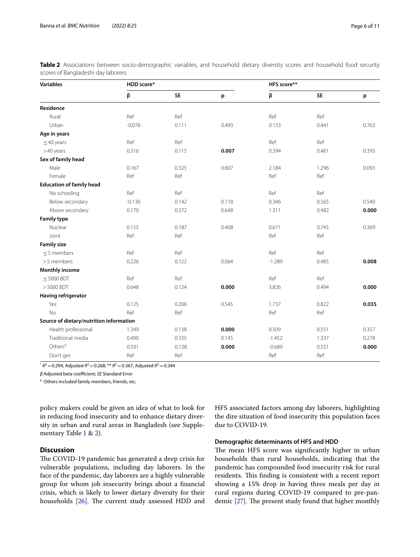| <b>Variables</b>                        | HDD score* |           |       | HFS score** |           |       |  |
|-----------------------------------------|------------|-----------|-------|-------------|-----------|-------|--|
|                                         | β          | <b>SE</b> | p     | β           | <b>SE</b> | p     |  |
| Residence                               |            |           |       |             |           |       |  |
| Rural                                   | Ref        | Ref       |       | Ref         | Ref       |       |  |
| Urban                                   | $-0.076$   | 0.111     | 0.493 | 0.133       | 0.441     | 0.763 |  |
| Age in years                            |            |           |       |             |           |       |  |
| $\leq$ 40 years                         | Ref        | Ref       |       | Ref         | Ref       |       |  |
| >40 years                               | 0.316      | 0.115     | 0.007 | 0.394       | 0.461     | 0.393 |  |
| Sex of family head                      |            |           |       |             |           |       |  |
| Male                                    | 0.167      | 0.325     | 0.607 | 2.184       | 1.296     | 0.093 |  |
| Female                                  | Ref        | Ref       |       | Ref         | Ref       |       |  |
| <b>Education of family head</b>         |            |           |       |             |           |       |  |
| No schooling                            | Ref        | Ref       |       | Ref         | Ref       |       |  |
| Below secondary                         | $-0.136$   | 0.142     | 0.118 | 0.346       | 0.565     | 0.540 |  |
| Above secondary                         | 0.170      | 0.372     | 0.648 | 1.311       | 0.482     | 0.000 |  |
| <b>Family type</b>                      |            |           |       |             |           |       |  |
| Nuclear                                 | 0.155      | 0.187     | 0.408 | 0.671       | 0.745     | 0.369 |  |
| Joint                                   | Ref        | Ref       |       | Ref         | Ref       |       |  |
| <b>Family size</b>                      |            |           |       |             |           |       |  |
| $\leq$ 5 members                        | Ref        | Ref       |       | Ref         | Ref       |       |  |
| > 5 members                             | 0.226      | 0.122     | 0.064 | $-1.289$    | 0.485     | 0.008 |  |
| <b>Monthly income</b>                   |            |           |       |             |           |       |  |
| $\leq$ 5000 BDT                         | Ref        | Ref       |       | Ref         | Ref       |       |  |
| >5000 BDT                               | 0.648      | 0.124     | 0.000 | 3.826       | 0.494     | 0.000 |  |
| Having refrigerator                     |            |           |       |             |           |       |  |
| Yes                                     | 0.125      | 0.206     | 0.545 | 1.737       | 0.822     | 0.035 |  |
| <b>No</b>                               | Ref        | Ref       |       | Ref         | Ref       |       |  |
| Source of dietary/nutrition information |            |           |       |             |           |       |  |
| Health professional                     | 1.349      | 0.138     | 0.000 | 0.509       | 0.551     | 0.357 |  |
| Traditional media                       | 0.490      | 0.335     | 0.145 | $-1.452$    | 1.337     | 0.278 |  |
| Others $a$                              | 0.591      | 0.138     | 0.000 | $-0.689$    | 0.551     | 0.000 |  |
| Don't get                               | Ref        | Ref       |       | Ref         | Ref       |       |  |

<span id="page-5-0"></span>**Table 2** Associations between socio-demographic variables, and household dietary diversity scores and household food security scores of Bangladeshi day laborers

 $\sqrt[k]{R^2}$  = 0.294, Adjusted  $R^2$  = 0.268; \*\*  $R^2$  = 0.367, Adjusted  $R^2$  = 0.344

*β* Adjusted beta coefficient; *SE* Standard Error

<sup>a</sup> Others included family members, friends, etc.

policy makers could be given an idea of what to look for in reducing food insecurity and to enhance dietary diversity in urban and rural areas in Bangladesh (see Supplementary Table [1](#page-8-0) & [2\)](#page-8-0).

### **Discussion**

The COVID-19 pandemic has generated a deep crisis for vulnerable populations, including day laborers. In the face of the pandemic, day laborers are a highly vulnerable group for whom job insecurity brings about a fnancial crisis, which is likely to lower dietary diversity for their households  $[26]$  $[26]$  $[26]$ . The current study assessed HDD and HFS associated factors among day laborers, highlighting the dire situation of food insecurity this population faces due to COVID-19.

#### **Demographic determinants of HFS and HDD**

The mean HFS score was significantly higher in urban households than rural households, indicating that the pandemic has compounded food insecurity risk for rural residents. This finding is consistent with a recent report showing a 15% drop in having three meals per day in rural regions during COVID-19 compared to pre-pandemic  $[27]$  $[27]$  $[27]$ . The present study found that higher monthly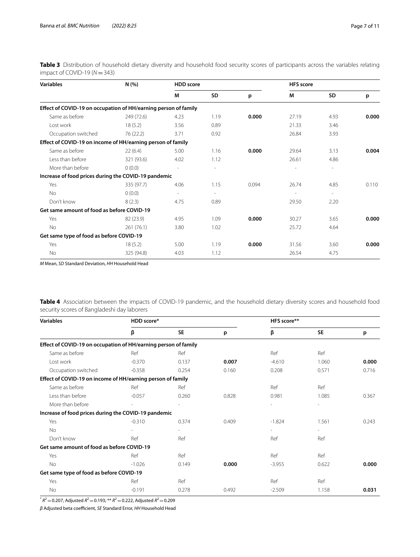<span id="page-6-0"></span>**Table 3** Distribution of household dietary diversity and household food security scores of participants across the variables relating impact of COVID-19 (*N*=343)

| <b>Variables</b>                                                | N(% )      | <b>HDD</b> score         |                          |       | <b>HFS</b> score         |                          |       |
|-----------------------------------------------------------------|------------|--------------------------|--------------------------|-------|--------------------------|--------------------------|-------|
|                                                                 |            | М                        | SD                       | p     | М                        | <b>SD</b>                | p     |
| Effect of COVID-19 on occupation of HH/earning person of family |            |                          |                          |       |                          |                          |       |
| Same as before                                                  | 249 (72.6) | 4.23                     | 1.19                     | 0.000 | 27.19                    | 4.93                     | 0.000 |
| Lost work                                                       | 18(5.2)    | 3.56                     | 0.89                     |       | 21.33                    | 3.46                     |       |
| Occupation switched                                             | 76 (22.2)  | 3.71                     | 0.92                     |       | 26.84                    | 3.93                     |       |
| Effect of COVID-19 on income of HH/earning person of family     |            |                          |                          |       |                          |                          |       |
| Same as before                                                  | 22(6.4)    | 5.00                     | 1.16                     | 0.000 | 29.64                    | 3.13                     | 0.004 |
| Less than before                                                | 321 (93.6) | 4.02                     | 1.12                     |       | 26.61                    | 4.86                     |       |
| More than before                                                | 0(0.0)     | $\overline{\phantom{a}}$ | ٠                        |       |                          | $\overline{\phantom{a}}$ |       |
| Increase of food prices during the COVID-19 pandemic            |            |                          |                          |       |                          |                          |       |
| Yes                                                             | 335 (97.7) | 4.06                     | 1.15                     | 0.094 | 26.74                    | 4.85                     | 0.110 |
| No                                                              | 0(0.0)     | $\overline{\phantom{a}}$ | $\overline{\phantom{a}}$ |       | $\overline{\phantom{a}}$ | $\overline{\phantom{a}}$ |       |
| Don't know                                                      | 8(2.3)     | 4.75                     | 0.89                     |       | 29.50                    | 2.20                     |       |
| Get same amount of food as before COVID-19                      |            |                          |                          |       |                          |                          |       |
| Yes                                                             | 82 (23.9)  | 4.95                     | 1.09                     | 0.000 | 30.27                    | 3.65                     | 0.000 |
| No                                                              | 261(76.1)  | 3.80                     | 1.02                     |       | 25.72                    | 4.64                     |       |
| Get same type of food as before COVID-19                        |            |                          |                          |       |                          |                          |       |
| Yes                                                             | 18(5.2)    | 5.00                     | 1.19                     | 0.000 | 31.56                    | 3.60                     | 0.000 |
| <b>No</b>                                                       | 325 (94.8) | 4.03                     | 1.12                     |       | 26.54                    | 4.75                     |       |

*M* Mean, *SD* Standard Deviation, *HH* Household Head

<span id="page-6-1"></span>**Table 4** Association between the impacts of COVID-19 pandemic, and the household dietary diversity scores and household food security scores of Bangladeshi day laborers

| <b>Variables</b>                                                | HDD score* |           |       | HFS score** |           |       |  |
|-----------------------------------------------------------------|------------|-----------|-------|-------------|-----------|-------|--|
|                                                                 | β          | <b>SE</b> | p     | β           | <b>SE</b> | p     |  |
| Effect of COVID-19 on occupation of HH/earning person of family |            |           |       |             |           |       |  |
| Same as before                                                  | Ref        | Ref       |       | Ref         | Ref       |       |  |
| Lost work                                                       | $-0.370$   | 0.137     | 0.007 | $-4.610$    | 1.060     | 0.000 |  |
| Occupation switched                                             | $-0.358$   | 0.254     | 0.160 | 0.208       | 0.571     | 0.716 |  |
| Effect of COVID-19 on income of HH/earning person of family     |            |           |       |             |           |       |  |
| Same as before                                                  | Ref        | Ref       |       | Ref         | Ref       |       |  |
| Less than before                                                | $-0.057$   | 0.260     | 0.828 | 0.981       | 1.085     | 0.367 |  |
| More than before                                                |            |           |       |             |           |       |  |
| Increase of food prices during the COVID-19 pandemic            |            |           |       |             |           |       |  |
| Yes                                                             | $-0.310$   | 0.374     | 0.409 | $-1.824$    | 1.561     | 0.243 |  |
| <b>No</b>                                                       |            |           |       |             |           |       |  |
| Don't know                                                      | Ref        | Ref       |       | Ref         | Ref       |       |  |
| Get same amount of food as before COVID-19                      |            |           |       |             |           |       |  |
| Yes                                                             | Ref        | Ref       |       | Ref         | Ref       |       |  |
| <b>No</b>                                                       | $-1.026$   | 0.149     | 0.000 | $-3.955$    | 0.622     | 0.000 |  |
| Get same type of food as before COVID-19                        |            |           |       |             |           |       |  |
| Yes                                                             | Ref        | Ref       |       | Ref         | Ref       |       |  |
| <b>No</b>                                                       | $-0.191$   | 0.278     | 0.492 | $-2.509$    | 1.158     | 0.031 |  |

 $R^2 = 0.207$ , Adjusted  $R^2 = 0.193$ ; \*\*  $R^2 = 0.222$ , Adjusted  $R^2 = 0.209$ 

*β* Adjusted beta coefcient, *SE* Standard Error, *HH* Household Head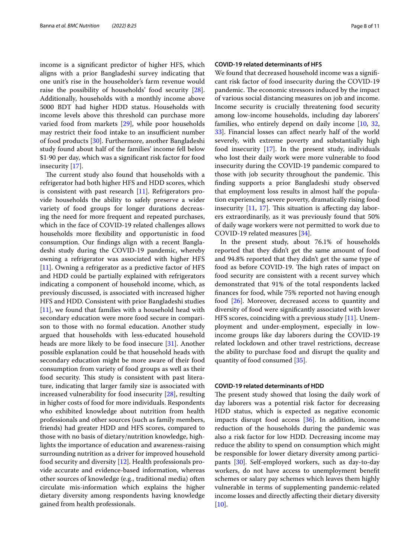income is a signifcant predictor of higher HFS, which aligns with a prior Bangladeshi survey indicating that one unit's rise in the householder's farm revenue would raise the possibility of households' food security [\[28](#page-9-26)]. Additionally, households with a monthly income above 5000 BDT had higher HDD status. Households with income levels above this threshold can purchase more varied food from markets [\[29](#page-9-27)], while poor households may restrict their food intake to an insufficient number of food products [\[30](#page-9-28)]. Furthermore, another Bangladeshi study found about half of the families' income fell below \$1·90 per day, which was a signifcant risk factor for food insecurity [[17\]](#page-9-15).

The current study also found that households with a refrigerator had both higher HFS and HDD scores, which is consistent with past research [[11\]](#page-9-10). Refrigerators provide households the ability to safely preserve a wider variety of food groups for longer durations decreasing the need for more frequent and repeated purchases, which in the face of COVID-19 related challenges allows households more fexibility and opportunistic in food consumption. Our fndings align with a recent Bangladeshi study during the COVID-19 pandemic, whereby owning a refrigerator was associated with higher HFS [[11\]](#page-9-10). Owning a refrigerator as a predictive factor of HFS and HDD could be partially explained with refrigerators indicating a component of household income, which, as previously discussed, is associated with increased higher HFS and HDD. Consistent with prior Bangladeshi studies  $[11]$  $[11]$ , we found that families with a household head with secondary education were more food secure in comparison to those with no formal education. Another study argued that households with less-educated household heads are more likely to be food insecure [[31](#page-9-29)]. Another possible explanation could be that household heads with secondary education might be more aware of their food consumption from variety of food groups as well as their food security. This study is consistent with past literature, indicating that larger family size is associated with increased vulnerability for food insecurity [\[28](#page-9-26)], resulting in higher costs of food for more individuals. Respondents who exhibited knowledge about nutrition from health professionals and other sources (such as family members, friends) had greater HDD and HFS scores, compared to those with no basis of dietary/nutrition knowledge, highlights the importance of education and awareness-raising surrounding nutrition as a driver for improved household food security and diversity [\[12\]](#page-9-11). Health professionals provide accurate and evidence-based information, whereas other sources of knowledge (e.g., traditional media) often circulate mis-information which explains the higher dietary diversity among respondents having knowledge gained from health professionals.

#### **COVID‑19 related determinants of HFS**

We found that decreased household income was a significant risk factor of food insecurity during the COVID-19 pandemic. The economic stressors induced by the impact of various social distancing measures on job and income. Income security is crucially threatening food security among low-income households, including day laborers' families, who entirely depend on daily income [\[10](#page-9-9), [32](#page-9-30), [33\]](#page-9-31). Financial losses can afect nearly half of the world severely, with extreme poverty and substantially high food insecurity [\[17](#page-9-15)]. In the present study, individuals who lost their daily work were more vulnerable to food insecurity during the COVID-19 pandemic compared to those with job security throughout the pandemic. This fnding supports a prior Bangladeshi study observed that employment loss results in almost half the population experiencing severe poverty, dramatically rising food insecurity  $[11, 17]$  $[11, 17]$  $[11, 17]$ . This situation is affecting day laborers extraordinarily, as it was previously found that 50% of daily wage workers were not permitted to work due to COVID-19 related measures [[34\]](#page-10-0).

In the present study, about 76.1% of households reported that they didn't get the same amount of food and 94.8% reported that they didn't get the same type of food as before COVID-19. The high rates of impact on food security are consistent with a recent survey which demonstrated that 91% of the total respondents lacked fnances for food, while 75% reported not having enough food [\[26\]](#page-9-24). Moreover, decreased access to quantity and diversity of food were signifcantly associated with lower HFS scores, coinciding with a previous study [\[11](#page-9-10)]. Unemployment and under-employment, especially in lowincome groups like day laborers during the COVID-19 related lockdown and other travel restrictions, decrease the ability to purchase food and disrupt the quality and quantity of food consumed [\[35\]](#page-10-1).

#### **COVID‑19 related determinants of HDD**

The present study showed that losing the daily work of day laborers was a potential risk factor for decreasing HDD status, which is expected as negative economic impacts disrupt food access [\[36](#page-10-2)]. In addition, income reduction of the households during the pandemic was also a risk factor for low HDD. Decreasing income may reduce the ability to spend on consumption which might be responsible for lower dietary diversity among participants [[30\]](#page-9-28). Self-employed workers, such as day-to-day workers, do not have access to unemployment beneft schemes or salary pay schemes which leaves them highly vulnerable in terms of supplementing pandemic-related income losses and directly afecting their dietary diversity  $[10]$  $[10]$ .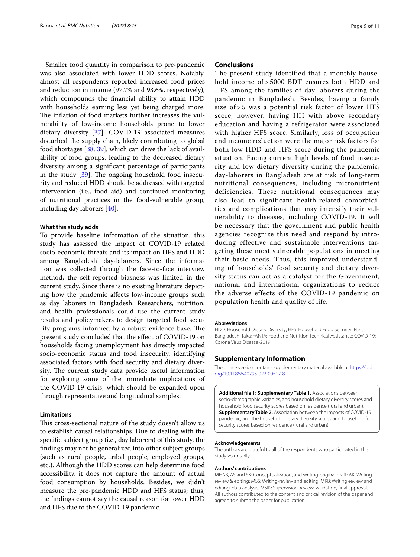Smaller food quantity in comparison to pre-pandemic was also associated with lower HDD scores. Notably, almost all respondents reported increased food prices and reduction in income (97.7% and 93.6%, respectively), which compounds the fnancial ability to attain HDD with households earning less yet being charged more. The inflation of food markets further increases the vulnerability of low-income households prone to lower dietary diversity [[37\]](#page-10-3). COVID-19 associated measures disturbed the supply chain, likely contributing to global food shortages [[38,](#page-10-4) [39](#page-10-5)], which can drive the lack of availability of food groups, leading to the decreased dietary diversity among a signifcant percentage of participants in the study  $[39]$  $[39]$ . The ongoing household food insecurity and reduced HDD should be addressed with targeted intervention (i.e., food aid) and continued monitoring of nutritional practices in the food-vulnerable group, including day laborers [\[40](#page-10-6)].

#### **What this study adds**

To provide baseline information of the situation, this study has assessed the impact of COVID-19 related socio-economic threats and its impact on HFS and HDD among Bangladeshi day-laborers. Since the information was collected through the face-to-face interview method, the self-reported biasness was limited in the current study. Since there is no existing literature depicting how the pandemic afects low-income groups such as day laborers in Bangladesh. Researchers, nutrition, and health professionals could use the current study results and policymakers to design targeted food security programs informed by a robust evidence base. The present study concluded that the efect of COVID-19 on households facing unemployment has directly impacted socio-economic status and food insecurity, identifying associated factors with food security and dietary diversity. The current study data provide useful information for exploring some of the immediate implications of the COVID-19 crisis, which should be expanded upon through representative and longitudinal samples.

#### **Limitations**

This cross-sectional nature of the study doesn't allow us to establish causal relationships. Due to dealing with the specifc subject group (i.e., day laborers) of this study, the fndings may not be generalized into other subject groups (such as rural people, tribal people, employed groups, etc.). Although the HDD scores can help determine food accessibility, it does not capture the amount of actual food consumption by households. Besides, we didn't measure the pre-pandemic HDD and HFS status; thus, the fndings cannot say the causal reason for lower HDD and HFS due to the COVID-19 pandemic.

#### **Conclusions**

The present study identified that a monthly household income of > 5000 BDT ensures both HDD and HFS among the families of day laborers during the pandemic in Bangladesh. Besides, having a family size of > 5 was a potential risk factor of lower HFS score; however, having HH with above secondary education and having a refrigerator were associated with higher HFS score. Similarly, loss of occupation and income reduction were the major risk factors for both low HDD and HFS score during the pandemic situation. Facing current high levels of food insecurity and low dietary diversity during the pandemic, day-laborers in Bangladesh are at risk of long-term nutritional consequences, including micronutrient deficiencies. These nutritional consequences may also lead to significant health-related comorbidities and complications that may intensify their vulnerability to diseases, including COVID-19. It will be necessary that the government and public health agencies recognize this need and respond by introducing effective and sustainable interventions targeting these most vulnerable populations in meeting their basic needs. Thus, this improved understanding of households' food security and dietary diversity status can act as a catalyst for the Government, national and international organizations to reduce the adverse effects of the COVID-19 pandemic on population health and quality of life.

#### **Abbreviations**

HDD: Household Dietary Diversity; HFS: Household Food Security; BDT: Bangladeshi Taka; FANTA: Food and Nutrition Technical Assistance; COVID-19: Corona Virus Disease-2019.

#### **Supplementary Information**

The online version contains supplementary material available at [https://doi.](https://doi.org/10.1186/s40795-022-00517-8) [org/10.1186/s40795-022-00517-8](https://doi.org/10.1186/s40795-022-00517-8).

<span id="page-8-0"></span>**Additional fle 1: Supplementary Table 1.** Associations between socio-demographic variables, and household dietary diversity scores and household food security scores based on residence (rural and urban). **Supplementary Table 2.** Association between the impacts of COVID-19 pandemic, and the household dietary diversity scores and household food security scores based on residence (rural and urban).

#### **Acknowledgements**

The authors are grateful to all of the respondents who participated in this study voluntarily.

#### **Authors' contributions**

MHAB, AS and SK: Conceptualization, and writing-original draft; AK: Writingreview & editing; MSS: Writing-review and editing; MRB: Writing-review and editing, data analysis; MSIK: Supervision, review, validation, fnal approval. All authors contributed to the content and critical revision of the paper and agreed to submit the paper for publication.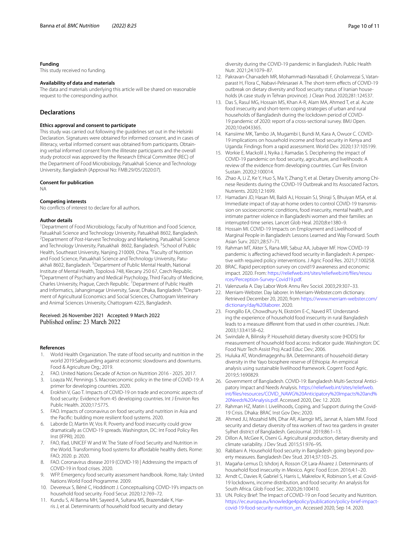#### **Funding**

This study received no funding.

#### **Availability of data and materials**

The data and materials underlying this article will be shared on reasonable request to the corresponding author.

#### **Declarations**

#### **Ethics approval and consent to participate**

This study was carried out following the guidelines set out in the Helsinki Declaration. Signatures were obtained for informed consent, and in cases of illiteracy, verbal informed consent was obtained from participants. Obtaining verbal informed consent from the illiterate participants and the overall study protocol was approved by the Research Ethical Committee (REC) of the Department of Food Microbiology, Patuakhali Science and Technology University, Bangladesh (Approval No: FMB:29/05/2020:07).

#### **Consent for publication**

NA

#### **Competing interests**

No conficts of interest to declare for all authors.

#### **Author details**

<sup>1</sup> Department of Food Microbiology, Faculty of Nutrition and Food Science, Patuakhali Science and Technology University, Patuakhali 8602, Bangladesh. 2 Department of Post-Harvest Technology and Marketing, Patuakhali Science and Technology University, Patuakhali 8602, Bangladesh. <sup>3</sup> School of Public Health, Southeast University, Nanjing 210009, China. <sup>4</sup> Faculty of Nutrition and Food Science, Patuakhali Science and Technology University, Patuakhali 8602, Bangladesh. <sup>5</sup> Department of Public Mental Health, National Institute of Mental Health, Topolová 748, Klecany 250 67, Czech Republic. 6 Department of Psychiatry and Medical Psychology, Third Faculty of Medicine, Charles University, Prague, Czech Republic.<sup>7</sup> Department of Public Health and Informatics, Jahangirnagar University, Savar, Dhaka, Bangladesh. <sup>8</sup> Department of Agricultural Economics and Social Sciences, Chattogram Veterinary and Animal Sciences University, Chattogram 4225, Bangladesh.

# Received: 26 November 2021 Accepted: 9 March 2022

#### **References**

- <span id="page-9-0"></span>1. World Health Organization. The state of food security and nutrition in the world 2019:Safeguarding against economic slowdowns and downturns. Food & Agriculture Org.; 2019.
- <span id="page-9-1"></span>2. FAO. United Nations Decade of Action on Nutrition 2016 - 2025. 2017.
- <span id="page-9-2"></span>3. Loayza NV, Pennings S. Macroeconomic policy in the time of COVID-19: A primer for developing countries. 2020. 4. Erokhin V, Gao T. Impacts of COVID-19 on trade and economic aspects of
- <span id="page-9-3"></span>food security: Evidence from 45 developing countries. Int J Environ Res Public Health. 2020;17:5775.
- <span id="page-9-4"></span>5. FAO. Impacts of coronavirus on food security and nutrition in Asia and the Pacifc: building more resilient food systems. 2020.
- <span id="page-9-5"></span>6. Laborde D, Martin W, Vos R. Poverty and food insecurity could grow dramatically as COVID-19 spreads. Washington, DC: Int Food Policy Res Inst (IFPRI); 2020.
- <span id="page-9-6"></span>7. FAO, Ifad, UNICEF W and W. The State of Food Security and Nutrition in the World. Transforming food systems for affordable healthy diets. Rome: FAO; 2020. p. 2020.
- <span id="page-9-7"></span>8. FAO. Coronavirus disease 2019 (COVID-19) | Addressing the impacts of COVID-19 in food crises. 2020.
- <span id="page-9-8"></span>9. WFP. Emergency food security assessment handbook. Rome, Italy: United Nations World Food Programme. 2009.
- <span id="page-9-9"></span>10. Devereux S, Béné C, Hoddinott J. Conceptualising COVID-19's impacts on household food security. Food Secur. 2020;12:769–72.
- <span id="page-9-10"></span>11. Kundu S, Al Banna MH, Sayeed A, Sultana MS, Brazendale K, Harris J, et al. Determinants of household food security and dietary

diversity during the COVID-19 pandemic in Bangladesh. Public Health Nutr. 2021;24:1079–87.

- <span id="page-9-11"></span>12. Pakravan-Charvadeh MR, Mohammadi-Nasrabadi F, Gholamrezai S, Vatanparast H, Flora C, Nabavi-Pelesaraei A. The short-term effects of COVID-19 outbreak on dietary diversity and food security status of Iranian households (A case study in Tehran province). J Clean Prod. 2020;281:124537.
- <span id="page-9-12"></span>13. Das S, Rasul MG, Hossain MS, Khan A-R, Alam MA, Ahmed T, et al. Acute food insecurity and short-term coping strategies of urban and rural households of Bangladesh during the lockdown period of COVID-19 pandemic of 2020: report of a cross-sectional survey. BMJ Open. 2020;10:e043365.
- <span id="page-9-14"></span>14. Kansiime MK, Tambo JA, Mugambi I, Bundi M, Kara A, Owuor C. COVID-19 implications on household income and food security in Kenya and Uganda: Findings from a rapid assessment. World Dev. 2020;137:105199.
- 15. Workie E, Mackolil J, Nyika J, Ramadas S. Deciphering the impact of COVID-19 pandemic on food security, agriculture, and livelihoods: A review of the evidence from developing countries. Curr Res Environ Sustain. 2020;2:100014.
- <span id="page-9-13"></span>16. Zhao A, Li Z, Ke Y, Huo S, Ma Y, Zhang Y, et al. Dietary Diversity among Chinese Residents during the COVID-19 Outbreak and Its Associated Factors. Nutrients. 2020;12:1699.
- <span id="page-9-15"></span>17. Hamadani JD, Hasan MI, Baldi AJ, Hossain SJ, Shiraji S, Bhuiyan MSA, et al. Immediate impact of stay-at-home orders to control COVID-19 transmission on socioeconomic conditions, food insecurity, mental health, and intimate partner violence in Bangladeshi women and their families: an interrupted time series. Lancet Glob Heal. 2020;8:e1380–9.
- <span id="page-9-16"></span>18. Hossain MI. COVID-19 Impacts on Employment and Livelihood of Marginal People in Bangladesh: Lessons Learned and Way Forward. South Asian Surv. 2021;28:57–71.
- <span id="page-9-17"></span>19. Rahman MT, Akter S, Rana MR, Sabuz AA, Jubayer MF. How COVID-19 pandemic is afecting achieved food security in Bangladesh: A perspective with required policy interventions. J Agric Food Res. 2021;7:100258.
- <span id="page-9-18"></span>20. BRAC. Rapid perception survey on covid19 awareness and economic impact. 2020. From: [https://reliefweb.int/sites/reliefweb.int/fles/resou](https://reliefweb.int/sites/reliefweb.int/files/resources/Perception-Survey-Covid19.pdf) [rces/Perception-Survey-Covid19.pdf](https://reliefweb.int/sites/reliefweb.int/files/resources/Perception-Survey-Covid19.pdf).
- <span id="page-9-19"></span>21. Valenzuela A. Day Labor Work Annu Rev Sociol. 2003;29:307–33.
- <span id="page-9-20"></span>22. Merriam-Webster. Day laborer. In Merriam-Webster.com dictionary. Retrieved December 20, 2020, from [https://www.merriam-webster.com/](https://www.merriam-webster.com/dictionary/day%20laborer) [dictionary/day%20laborer.](https://www.merriam-webster.com/dictionary/day%20laborer) 2020.
- <span id="page-9-21"></span>23. Frongillo EA, Chowdhury N, Ekström E-C, Naved RT. Understanding the experience of household food insecurity in rural Bangladesh leads to a measure diferent from that used in other countries. J Nutr. 2003;133:4158–62.
- <span id="page-9-22"></span>24. Swindale A, Bilinsky P. Household dietary diversity score (HDDS) for measurement of household food access: indicator guide. Washington: DC Food Nutr Tech Assist Proj Acad Educ Dev; 2006.
- <span id="page-9-23"></span>25. Huluka AT, Wondimagegnhu BA. Determinants of household dietary diversity in the Yayo biosphere reserve of Ethiopia: An empirical analysis using sustainable livelihood framework. Cogent Food Agric. 2019;5:1690829.
- <span id="page-9-24"></span>26. Government of Bangladesh. COVID-19: Bangladesh Multi-Sectoral Anticipatory Impact and Needs Analysis. [https://reliefweb.int/sites/reliefweb.](https://reliefweb.int/sites/reliefweb.int/files/resources/COVID_NAWG%20Anticipatory%20Impacts%20and%20Needs%20Analysis.pdf) [int/fles/resources/COVID\\_NAWG%20Anticipatory%20Impacts%20and%](https://reliefweb.int/sites/reliefweb.int/files/resources/COVID_NAWG%20Anticipatory%20Impacts%20and%20Needs%20Analysis.pdf) [20Needs%20Analysis.pdf.](https://reliefweb.int/sites/reliefweb.int/files/resources/COVID_NAWG%20Anticipatory%20Impacts%20and%20Needs%20Analysis.pdf) Accessed 2020, Dec 12. 2020.
- <span id="page-9-25"></span>27. Rahman HZ, Matin I. Livelihoods, Coping, and Support during the Covid-19 Crisis. Dhaka: BRAC Inst Gov Dev; 2020.
- <span id="page-9-26"></span>28. Ahmed JU, Mozahid MN, Dhar AR, Alamgir MS, Jannat A, Islam MM. Food security and dietary diversity of tea workers of two tea gardens in greater Sylhet district of Bangladesh. GeoJournal. 2019;86:1–13.
- <span id="page-9-27"></span>29. Dillon A, McGee K, Oseni G. Agricultural production, dietary diversity and climate variability. J Dev Stud. 2015;51:976–95.
- <span id="page-9-28"></span>30. Rabbani A. Household food security in Bangladesh: going beyond poverty measures. Bangladesh Dev Stud. 2014;37:103–25.
- <span id="page-9-29"></span>31. Magaña-Lemus D, Ishdorj A, Rosson CP, Lara-Álvarez J. Determinants of household food insecurity in Mexico. Agric Food Econ. 2016;4:1–20.
- <span id="page-9-30"></span>32. Arndt C, Davies R, Gabriel S, Harris L, Makrelov K, Robinson S, et al. Covid-19 lockdowns, income distribution, and food security: An analysis for South Africa. Glob Food Sec. 2020;26:100410.
- <span id="page-9-31"></span>33. UN. Policy Brief: The Impact of COVID-19 on Food Security and Nutrition. [https://ec.europa.eu/knowledge4policy/publication/policy-brief-impact](https://ec.europa.eu/knowledge4policy/publication/policy-brief-impact-covid-19-food-security-nutrition_en)[covid-19-food-security-nutrition\\_en.](https://ec.europa.eu/knowledge4policy/publication/policy-brief-impact-covid-19-food-security-nutrition_en) Accessed 2020, Sep 14. 2020.